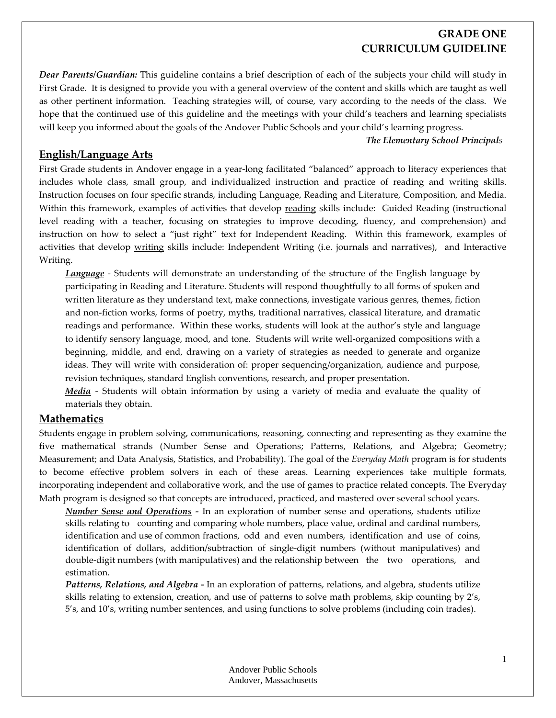## **GRADE ONE CURRICULUM GUIDELINE**

*Dear Parents/Guardian:* This guideline contains a brief description of each of the subjects your child will study in First Grade. It is designed to provide you with a general overview of the content and skills which are taught as well as other pertinent information. Teaching strategies will, of course, vary according to the needs of the class. We hope that the continued use of this guideline and the meetings with your child's teachers and learning specialists will keep you informed about the goals of the Andover Public Schools and your child's learning progress.

#### *The Elementary School Principals*

### **English/Language Arts**

First Grade students in Andover engage in a year-long facilitated "balanced" approach to literacy experiences that includes whole class, small group, and individualized instruction and practice of reading and writing skills. Instruction focuses on four specific strands, including Language, Reading and Literature, Composition, and Media. Within this framework, examples of activities that develop reading skills include: Guided Reading (instructional level reading with a teacher, focusing on strategies to improve decoding, fluency, and comprehension) and instruction on how to select a "just right" text for Independent Reading. Within this framework, examples of activities that develop writing skills include: Independent Writing (i.e. journals and narratives), and Interactive Writing.

*Language* - Students will demonstrate an understanding of the structure of the English language by participating in Reading and Literature. Students will respond thoughtfully to all forms of spoken and written literature as they understand text, make connections, investigate various genres, themes, fiction and non‐fiction works, forms of poetry, myths, traditional narratives, classical literature, and dramatic readings and performance. Within these works, students will look at the author's style and language to identify sensory language, mood, and tone. Students will write well‐organized compositions with a beginning, middle, and end, drawing on a variety of strategies as needed to generate and organize ideas. They will write with consideration of: proper sequencing/organization, audience and purpose, revision techniques, standard English conventions, research, and proper presentation.

*Media* - Students will obtain information by using a variety of media and evaluate the quality of materials they obtain.

### **Mathematics**

Students engage in problem solving, communications, reasoning, connecting and representing as they examine the five mathematical strands (Number Sense and Operations; Patterns, Relations, and Algebra; Geometry; Measurement; and Data Analysis, Statistics, and Probability). The goal of the *Everyday Math* program is for students to become effective problem solvers in each of these areas. Learning experiences take multiple formats, incorporating independent and collaborative work, and the use of games to practice related concepts. The Everyday Math program is designed so that concepts are introduced, practiced, and mastered over several school years.

*Number Sense and Operations ‐* In an exploration of number sense and operations, students utilize skills relating to counting and comparing whole numbers, place value, ordinal and cardinal numbers, identification and use of common fractions, odd and even numbers, identification and use of coins, identification of dollars, addition/subtraction of single‐digit numbers (without manipulatives) and double-digit numbers (with manipulatives) and the relationship between the two operations, and estimation.

*Patterns, Relations, and Algebra ‐* In an exploration of patterns, relations, and algebra, students utilize skills relating to extension, creation, and use of patterns to solve math problems, skip counting by 2's, 5's, and 10's, writing number sentences, and using functions to solve problems (including coin trades).